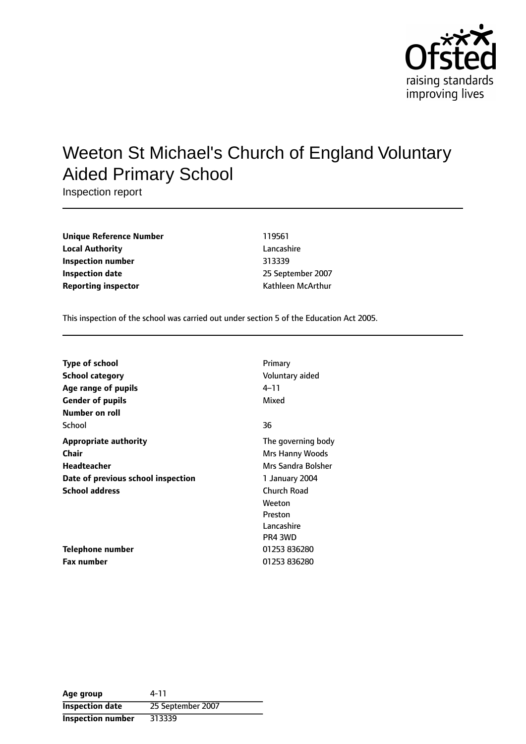

# Weeton St Michael's Church of England Voluntary Aided Primary School

Inspection report

| <b>Unique Reference Number</b> | 119561            |
|--------------------------------|-------------------|
| <b>Local Authority</b>         | Lancashire        |
| Inspection number              | 313339            |
| <b>Inspection date</b>         | 25 September 2007 |
| <b>Reporting inspector</b>     | Kathleen McArthur |

This inspection of the school was carried out under section 5 of the Education Act 2005.

| <b>Type of school</b>              | Primary            |
|------------------------------------|--------------------|
| School category                    | Voluntary aided    |
| Age range of pupils                | 4–11               |
| <b>Gender of pupils</b>            | Mixed              |
| Number on roll                     |                    |
| School                             | 36                 |
| Appropriate authority              | The governing body |
| Chair                              | Mrs Hanny Woods    |
| Headteacher                        | Mrs Sandra Bolsher |
| Date of previous school inspection | 1 January 2004     |
| <b>School address</b>              | Church Road        |
|                                    | Weeton             |
|                                    | Preston            |
|                                    | Lancashire         |
|                                    | PR4 3WD            |
| Telephone number                   | 01253 836280       |
| <b>Fax number</b>                  | 01253 836280       |

| Age group                | 4-11              |
|--------------------------|-------------------|
| <b>Inspection date</b>   | 25 September 2007 |
| <b>Inspection number</b> | 313339            |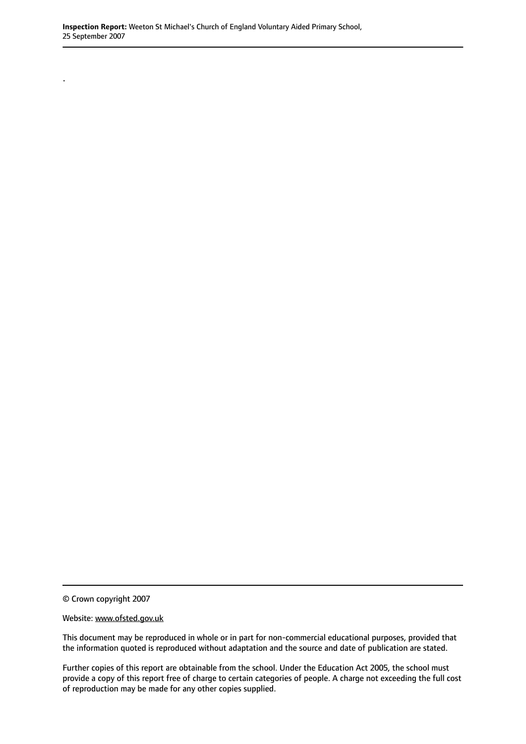© Crown copyright 2007

.

Website: www.ofsted.gov.uk

This document may be reproduced in whole or in part for non-commercial educational purposes, provided that the information quoted is reproduced without adaptation and the source and date of publication are stated.

Further copies of this report are obtainable from the school. Under the Education Act 2005, the school must provide a copy of this report free of charge to certain categories of people. A charge not exceeding the full cost of reproduction may be made for any other copies supplied.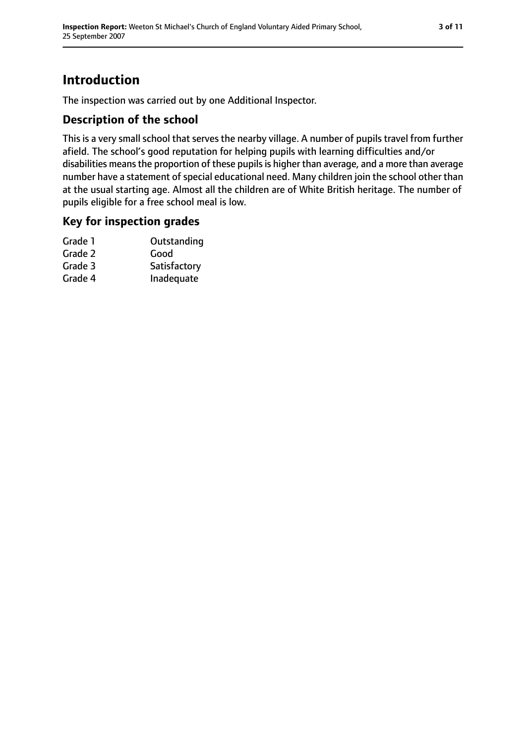## **Introduction**

The inspection was carried out by one Additional Inspector.

#### **Description of the school**

This is a very small school that serves the nearby village. A number of pupils travel from further afield. The school's good reputation for helping pupils with learning difficulties and/or disabilities means the proportion of these pupils is higher than average, and a more than average number have a statement of special educational need. Many children join the school other than at the usual starting age. Almost all the children are of White British heritage. The number of pupils eligible for a free school meal is low.

#### **Key for inspection grades**

| Grade 1 | Outstanding  |
|---------|--------------|
| Grade 2 | Good         |
| Grade 3 | Satisfactory |
| Grade 4 | Inadequate   |
|         |              |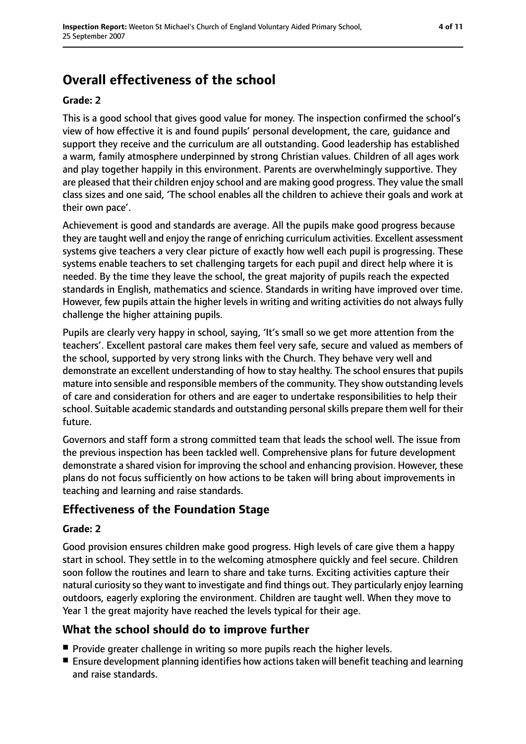## **Overall effectiveness of the school**

#### **Grade: 2**

This is a good school that gives good value for money. The inspection confirmed the school's view of how effective it is and found pupils' personal development, the care, guidance and support they receive and the curriculum are all outstanding. Good leadership has established a warm, family atmosphere underpinned by strong Christian values. Children of all ages work and play together happily in this environment. Parents are overwhelmingly supportive. They are pleased that their children enjoy school and are making good progress. They value the small class sizes and one said, 'The school enables all the children to achieve their goals and work at their own pace'.

Achievement is good and standards are average. All the pupils make good progress because they are taught well and enjoy the range of enriching curriculum activities. Excellent assessment systems give teachers a very clear picture of exactly how well each pupil is progressing. These systems enable teachers to set challenging targets for each pupil and direct help where it is needed. By the time they leave the school, the great majority of pupils reach the expected standards in English, mathematics and science. Standards in writing have improved over time. However, few pupils attain the higher levels in writing and writing activities do not always fully challenge the higher attaining pupils.

Pupils are clearly very happy in school, saying, 'It's small so we get more attention from the teachers'. Excellent pastoral care makes them feel very safe, secure and valued as members of the school, supported by very strong links with the Church. They behave very well and demonstrate an excellent understanding of how to stay healthy. The school ensures that pupils mature into sensible and responsible members of the community. They show outstanding levels of care and consideration for others and are eager to undertake responsibilities to help their school. Suitable academic standards and outstanding personal skills prepare them well for their future.

Governors and staff form a strong committed team that leads the school well. The issue from the previous inspection has been tackled well. Comprehensive plans for future development demonstrate a shared vision for improving the school and enhancing provision. However, these plans do not focus sufficiently on how actions to be taken will bring about improvements in teaching and learning and raise standards.

#### **Effectiveness of the Foundation Stage**

#### **Grade: 2**

Good provision ensures children make good progress. High levels of care give them a happy start in school. They settle in to the welcoming atmosphere quickly and feel secure. Children soon follow the routines and learn to share and take turns. Exciting activities capture their natural curiosity so they want to investigate and find things out. They particularly enjoy learning outdoors, eagerly exploring the environment. Children are taught well. When they move to Year 1 the great majority have reached the levels typical for their age.

#### **What the school should do to improve further**

- Provide greater challenge in writing so more pupils reach the higher levels.
- Ensure development planning identifies how actions taken will benefit teaching and learning and raise standards.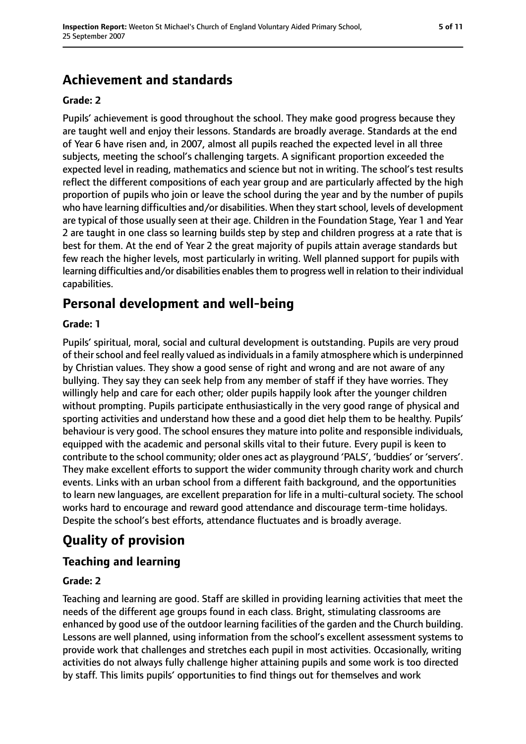## **Achievement and standards**

#### **Grade: 2**

Pupils' achievement is good throughout the school. They make good progress because they are taught well and enjoy their lessons. Standards are broadly average. Standards at the end of Year 6 have risen and, in 2007, almost all pupils reached the expected level in all three subjects, meeting the school's challenging targets. A significant proportion exceeded the expected level in reading, mathematics and science but not in writing. The school's test results reflect the different compositions of each year group and are particularly affected by the high proportion of pupils who join or leave the school during the year and by the number of pupils who have learning difficulties and/or disabilities. When they start school, levels of development are typical of those usually seen at their age. Children in the Foundation Stage, Year 1 and Year 2 are taught in one class so learning builds step by step and children progress at a rate that is best for them. At the end of Year 2 the great majority of pupils attain average standards but few reach the higher levels, most particularly in writing. Well planned support for pupils with learning difficulties and/or disabilities enables them to progress well in relation to their individual capabilities.

## **Personal development and well-being**

#### **Grade: 1**

Pupils' spiritual, moral, social and cultural development is outstanding. Pupils are very proud of their school and feel really valued as individuals in a family atmosphere which is underpinned by Christian values. They show a good sense of right and wrong and are not aware of any bullying. They say they can seek help from any member of staff if they have worries. They willingly help and care for each other; older pupils happily look after the younger children without prompting. Pupils participate enthusiastically in the very good range of physical and sporting activities and understand how these and a good diet help them to be healthy. Pupils' behaviour is very good. The school ensures they mature into polite and responsible individuals, equipped with the academic and personal skills vital to their future. Every pupil is keen to contribute to the school community; older ones act as playground 'PALS', 'buddies' or 'servers'. They make excellent efforts to support the wider community through charity work and church events. Links with an urban school from a different faith background, and the opportunities to learn new languages, are excellent preparation for life in a multi-cultural society. The school works hard to encourage and reward good attendance and discourage term-time holidays. Despite the school's best efforts, attendance fluctuates and is broadly average.

## **Quality of provision**

#### **Teaching and learning**

#### **Grade: 2**

Teaching and learning are good. Staff are skilled in providing learning activities that meet the needs of the different age groups found in each class. Bright, stimulating classrooms are enhanced by good use of the outdoor learning facilities of the garden and the Church building. Lessons are well planned, using information from the school's excellent assessment systems to provide work that challenges and stretches each pupil in most activities. Occasionally, writing activities do not always fully challenge higher attaining pupils and some work is too directed by staff. This limits pupils' opportunities to find things out for themselves and work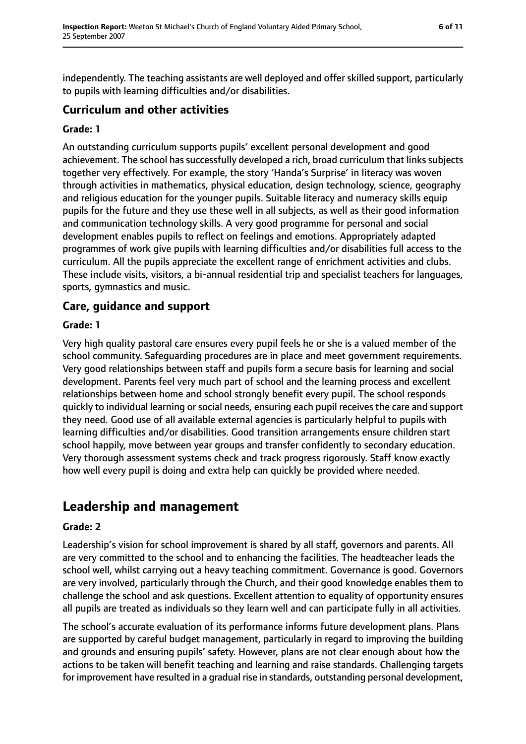independently. The teaching assistants are well deployed and offer skilled support, particularly to pupils with learning difficulties and/or disabilities.

#### **Curriculum and other activities**

#### **Grade: 1**

An outstanding curriculum supports pupils' excellent personal development and good achievement. The school has successfully developed a rich, broad curriculum that links subjects together very effectively. For example, the story 'Handa's Surprise' in literacy was woven through activities in mathematics, physical education, design technology, science, geography and religious education for the younger pupils. Suitable literacy and numeracy skills equip pupils for the future and they use these well in all subjects, as well as their good information and communication technology skills. A very good programme for personal and social development enables pupils to reflect on feelings and emotions. Appropriately adapted programmes of work give pupils with learning difficulties and/or disabilities full access to the curriculum. All the pupils appreciate the excellent range of enrichment activities and clubs. These include visits, visitors, a bi-annual residential trip and specialist teachers for languages, sports, gymnastics and music.

#### **Care, guidance and support**

#### **Grade: 1**

Very high quality pastoral care ensures every pupil feels he or she is a valued member of the school community. Safeguarding procedures are in place and meet government requirements. Very good relationships between staff and pupils form a secure basis for learning and social development. Parents feel very much part of school and the learning process and excellent relationships between home and school strongly benefit every pupil. The school responds quickly to individual learning or social needs, ensuring each pupil receives the care and support they need. Good use of all available external agencies is particularly helpful to pupils with learning difficulties and/or disabilities. Good transition arrangements ensure children start school happily, move between year groups and transfer confidently to secondary education. Very thorough assessment systems check and track progress rigorously. Staff know exactly how well every pupil is doing and extra help can quickly be provided where needed.

## **Leadership and management**

#### **Grade: 2**

Leadership's vision for school improvement is shared by all staff, governors and parents. All are very committed to the school and to enhancing the facilities. The headteacher leads the school well, whilst carrying out a heavy teaching commitment. Governance is good. Governors are very involved, particularly through the Church, and their good knowledge enables them to challenge the school and ask questions. Excellent attention to equality of opportunity ensures all pupils are treated as individuals so they learn well and can participate fully in all activities.

The school's accurate evaluation of its performance informs future development plans. Plans are supported by careful budget management, particularly in regard to improving the building and grounds and ensuring pupils' safety. However, plans are not clear enough about how the actions to be taken will benefit teaching and learning and raise standards. Challenging targets for improvement have resulted in a gradual rise in standards, outstanding personal development,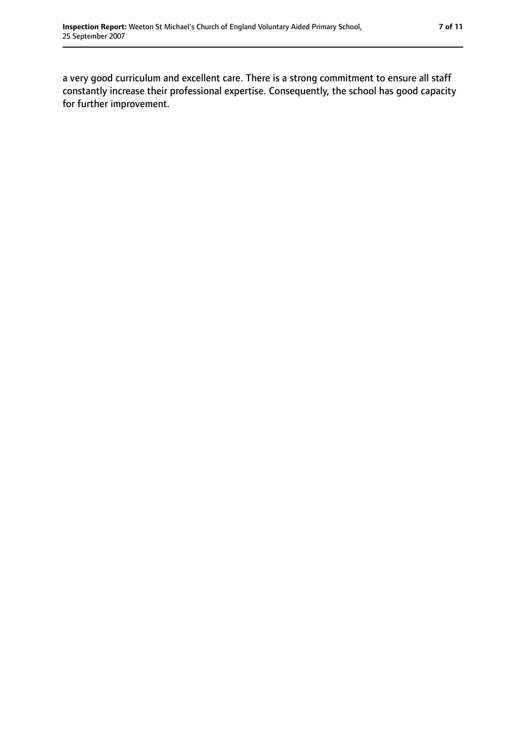a very good curriculum and excellent care. There is a strong commitment to ensure all staff constantly increase their professional expertise. Consequently, the school has good capacity for further improvement.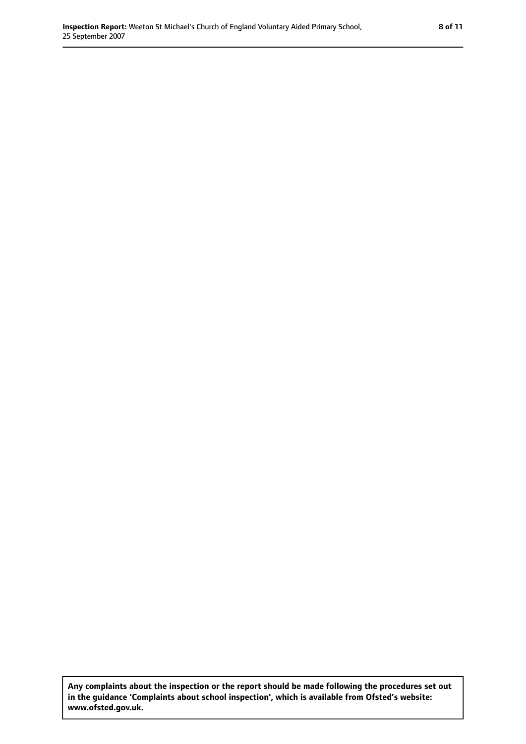**Any complaints about the inspection or the report should be made following the procedures set out in the guidance 'Complaints about school inspection', which is available from Ofsted's website: www.ofsted.gov.uk.**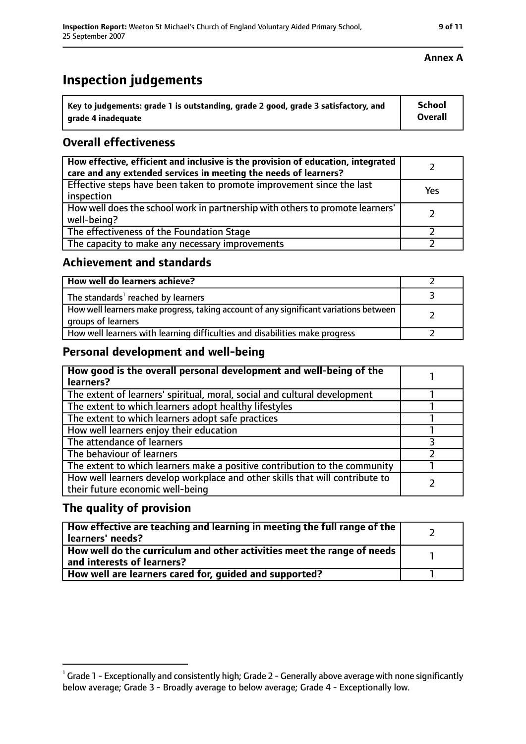## **Inspection judgements**

| $^{\cdot}$ Key to judgements: grade 1 is outstanding, grade 2 good, grade 3 satisfactory, and | School         |
|-----------------------------------------------------------------------------------------------|----------------|
| arade 4 inadequate                                                                            | <b>Overall</b> |

### **Overall effectiveness**

| How effective, efficient and inclusive is the provision of education, integrated<br>care and any extended services in meeting the needs of learners? |     |
|------------------------------------------------------------------------------------------------------------------------------------------------------|-----|
| Effective steps have been taken to promote improvement since the last<br>inspection                                                                  | Yes |
| How well does the school work in partnership with others to promote learners'<br>well-being?                                                         |     |
| The effectiveness of the Foundation Stage                                                                                                            |     |
| The capacity to make any necessary improvements                                                                                                      |     |

#### **Achievement and standards**

| How well do learners achieve?                                                                               |  |
|-------------------------------------------------------------------------------------------------------------|--|
| The standards <sup>1</sup> reached by learners                                                              |  |
| How well learners make progress, taking account of any significant variations between<br>groups of learners |  |
| How well learners with learning difficulties and disabilities make progress                                 |  |

#### **Personal development and well-being**

| How good is the overall personal development and well-being of the<br>learners?                                  |  |
|------------------------------------------------------------------------------------------------------------------|--|
| The extent of learners' spiritual, moral, social and cultural development                                        |  |
| The extent to which learners adopt healthy lifestyles                                                            |  |
| The extent to which learners adopt safe practices                                                                |  |
| How well learners enjoy their education                                                                          |  |
| The attendance of learners                                                                                       |  |
| The behaviour of learners                                                                                        |  |
| The extent to which learners make a positive contribution to the community                                       |  |
| How well learners develop workplace and other skills that will contribute to<br>their future economic well-being |  |

#### **The quality of provision**

| How effective are teaching and learning in meeting the full range of the<br>learners' needs?          |  |
|-------------------------------------------------------------------------------------------------------|--|
| How well do the curriculum and other activities meet the range of needs<br>and interests of learners? |  |
| How well are learners cared for, quided and supported?                                                |  |

#### **Annex A**

 $^1$  Grade 1 - Exceptionally and consistently high; Grade 2 - Generally above average with none significantly below average; Grade 3 - Broadly average to below average; Grade 4 - Exceptionally low.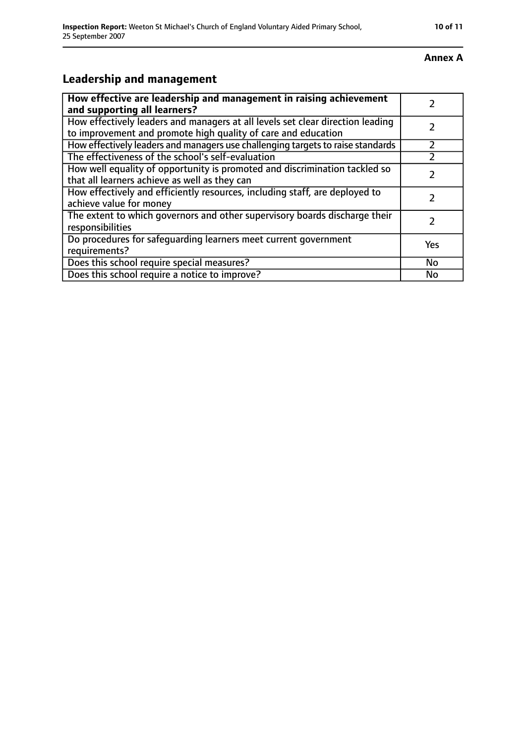#### **Annex A**

## **Leadership and management**

| How effective are leadership and management in raising achievement<br>and supporting all learners?                                              |     |
|-------------------------------------------------------------------------------------------------------------------------------------------------|-----|
| How effectively leaders and managers at all levels set clear direction leading<br>to improvement and promote high quality of care and education |     |
| How effectively leaders and managers use challenging targets to raise standards                                                                 |     |
| The effectiveness of the school's self-evaluation                                                                                               |     |
| How well equality of opportunity is promoted and discrimination tackled so<br>that all learners achieve as well as they can                     |     |
| How effectively and efficiently resources, including staff, are deployed to<br>achieve value for money                                          |     |
| The extent to which governors and other supervisory boards discharge their<br>responsibilities                                                  | 7   |
| Do procedures for safeguarding learners meet current government<br>requirements?                                                                | Yes |
| Does this school require special measures?                                                                                                      | No  |
| Does this school require a notice to improve?                                                                                                   | No  |